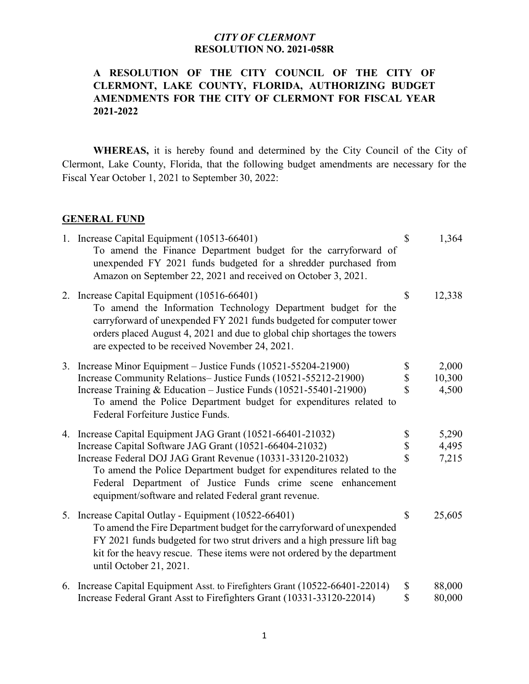# **A RESOLUTION OF THE CITY COUNCIL OF THE CITY OF CLERMONT, LAKE COUNTY, FLORIDA, AUTHORIZING BUDGET AMENDMENTS FOR THE CITY OF CLERMONT FOR FISCAL YEAR 2021-2022**

**WHEREAS,** it is hereby found and determined by the City Council of the City of Clermont, Lake County, Florida, that the following budget amendments are necessary for the Fiscal Year October 1, 2021 to September 30, 2022:

### **GENERAL FUND**

| 1. Increase Capital Equipment (10513-66401)<br>To amend the Finance Department budget for the carryforward of<br>unexpended FY 2021 funds budgeted for a shredder purchased from<br>Amazon on September 22, 2021 and received on October 3, 2021.                                                                                                                                     | $\mathcal{S}$                       | 1,364                    |
|---------------------------------------------------------------------------------------------------------------------------------------------------------------------------------------------------------------------------------------------------------------------------------------------------------------------------------------------------------------------------------------|-------------------------------------|--------------------------|
| 2. Increase Capital Equipment (10516-66401)<br>To amend the Information Technology Department budget for the<br>carryforward of unexpended FY 2021 funds budgeted for computer tower<br>orders placed August 4, 2021 and due to global chip shortages the towers<br>are expected to be received November 24, 2021.                                                                    | \$                                  | 12,338                   |
| 3. Increase Minor Equipment – Justice Funds (10521-55204-21900)<br>Increase Community Relations- Justice Funds (10521-55212-21900)<br>Increase Training & Education - Justice Funds (10521-55401-21900)<br>To amend the Police Department budget for expenditures related to<br>Federal Forfeiture Justice Funds.                                                                     | \$<br>\$<br>\$                      | 2,000<br>10,300<br>4,500 |
| 4. Increase Capital Equipment JAG Grant (10521-66401-21032)<br>Increase Capital Software JAG Grant (10521-66404-21032)<br>Increase Federal DOJ JAG Grant Revenue (10331-33120-21032)<br>To amend the Police Department budget for expenditures related to the<br>Federal Department of Justice Funds crime scene enhancement<br>equipment/software and related Federal grant revenue. | \$<br>\$<br>$\overline{\mathbf{S}}$ | 5,290<br>4,495<br>7,215  |
| 5. Increase Capital Outlay - Equipment (10522-66401)<br>To amend the Fire Department budget for the carryforward of unexpended<br>FY 2021 funds budgeted for two strut drivers and a high pressure lift bag<br>kit for the heavy rescue. These items were not ordered by the department<br>until October 21, 2021.                                                                    | \$                                  | 25,605                   |
| 6. Increase Capital Equipment Asst. to Firefighters Grant (10522-66401-22014)<br>Increase Federal Grant Asst to Firefighters Grant (10331-33120-22014)                                                                                                                                                                                                                                | \$<br>\$                            | 88,000<br>80,000         |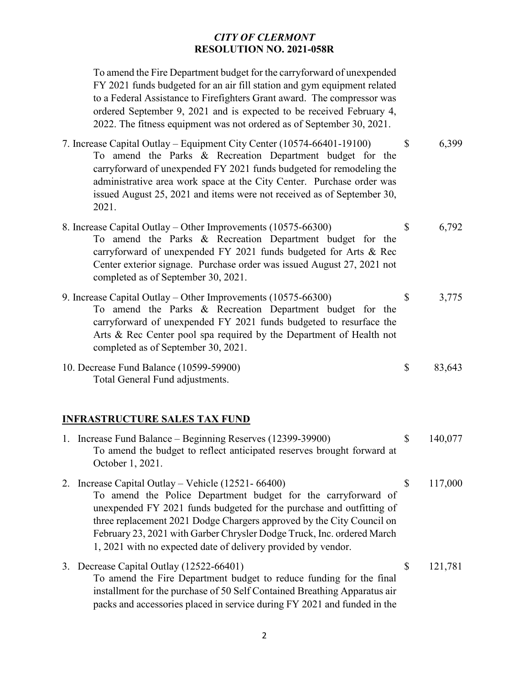To amend the Fire Department budget for the carryforward of unexpended FY 2021 funds budgeted for an air fill station and gym equipment related to a Federal Assistance to Firefighters Grant award. The compressor was ordered September 9, 2021 and is expected to be received February 4, 2022. The fitness equipment was not ordered as of September 30, 2021.

7. Increase Capital Outlay – Equipment City Center (10574-66401-19100) \$ 6,399 To amend the Parks & Recreation Department budget for the carryforward of unexpended FY 2021 funds budgeted for remodeling the administrative area work space at the City Center. Purchase order was issued August 25, 2021 and items were not received as of September 30, 2021.

- 8. Increase Capital Outlay Other Improvements (10575-66300) \$ 6,792 To amend the Parks & Recreation Department budget for the carryforward of unexpended FY 2021 funds budgeted for Arts & Rec Center exterior signage. Purchase order was issued August 27, 2021 not completed as of September 30, 2021.
- 9. Increase Capital Outlay Other Improvements (10575-66300) \$ 3,775 To amend the Parks & Recreation Department budget for the carryforward of unexpended FY 2021 funds budgeted to resurface the Arts & Rec Center pool spa required by the Department of Health not completed as of September 30, 2021.
- 10. Decrease Fund Balance (10599-59900) \$ 83,643 Total General Fund adjustments.

### **INFRASTRUCTURE SALES TAX FUND**

| 1. Increase Fund Balance – Beginning Reserves (12399-39900)<br>To amend the budget to reflect anticipated reserves brought forward at<br>October 1, 2021.                                                                                                                                                                                                                                                           |    | 140,077 |
|---------------------------------------------------------------------------------------------------------------------------------------------------------------------------------------------------------------------------------------------------------------------------------------------------------------------------------------------------------------------------------------------------------------------|----|---------|
| 2. Increase Capital Outlay – Vehicle $(12521 - 66400)$<br>To amend the Police Department budget for the carryforward of<br>unexpended FY 2021 funds budgeted for the purchase and outfitting of<br>three replacement 2021 Dodge Chargers approved by the City Council on<br>February 23, 2021 with Garber Chrysler Dodge Truck, Inc. ordered March<br>1, 2021 with no expected date of delivery provided by vendor. | S  | 117,000 |
| 3. Decrease Capital Outlay (12522-66401)<br>To amend the Fire Department budget to reduce funding for the final<br>installment for the purchase of 50 Self Contained Breathing Apparatus air<br>packs and accessories placed in service during FY 2021 and funded in the                                                                                                                                            | \$ | 121,781 |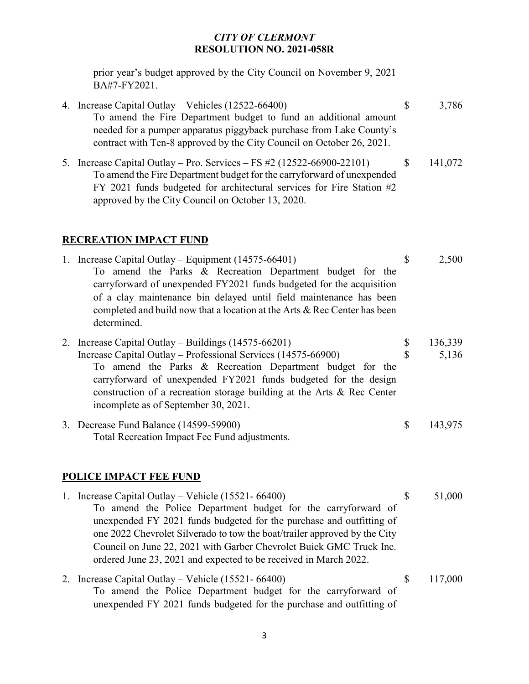prior year's budget approved by the City Council on November 9, 2021 BA#7-FY2021.

- 4. Increase Capital Outlay Vehicles (12522-66400) \$ 3,786 To amend the Fire Department budget to fund an additional amount needed for a pumper apparatus piggyback purchase from Lake County's contract with Ten-8 approved by the City Council on October 26, 2021.
- 5. Increase Capital Outlay Pro. Services FS #2 (12522-66900-22101) \$ 141,072 To amend the Fire Department budget for the carryforward of unexpended FY 2021 funds budgeted for architectural services for Fire Station #2 approved by the City Council on October 13, 2020.

# **RECREATION IMPACT FUND**

- 1. Increase Capital Outlay Equipment (14575-66401) \$ 2,500 To amend the Parks & Recreation Department budget for the carryforward of unexpended FY2021 funds budgeted for the acquisition of a clay maintenance bin delayed until field maintenance has been completed and build now that a location at the Arts & Rec Center has been determined.
- 2. Increase Capital Outlay Buildings (14575-66201) \$ 136,339 Increase Capital Outlay – Professional Services (14575-66900) \$ 5,136 To amend the Parks & Recreation Department budget for the carryforward of unexpended FY2021 funds budgeted for the design construction of a recreation storage building at the Arts & Rec Center incomplete as of September 30, 2021.
- 3. Decrease Fund Balance (14599-59900) \$ 143,975 Total Recreation Impact Fee Fund adjustments.

# **POLICE IMPACT FEE FUND**

- 1. Increase Capital Outlay Vehicle (15521- 66400) \$ 51,000 To amend the Police Department budget for the carryforward of unexpended FY 2021 funds budgeted for the purchase and outfitting of one 2022 Chevrolet Silverado to tow the boat/trailer approved by the City Council on June 22, 2021 with Garber Chevrolet Buick GMC Truck Inc. ordered June 23, 2021 and expected to be received in March 2022.
- 2. Increase Capital Outlay Vehicle (15521- 66400) \$ 117,000 To amend the Police Department budget for the carryforward of unexpended FY 2021 funds budgeted for the purchase and outfitting of
	- 3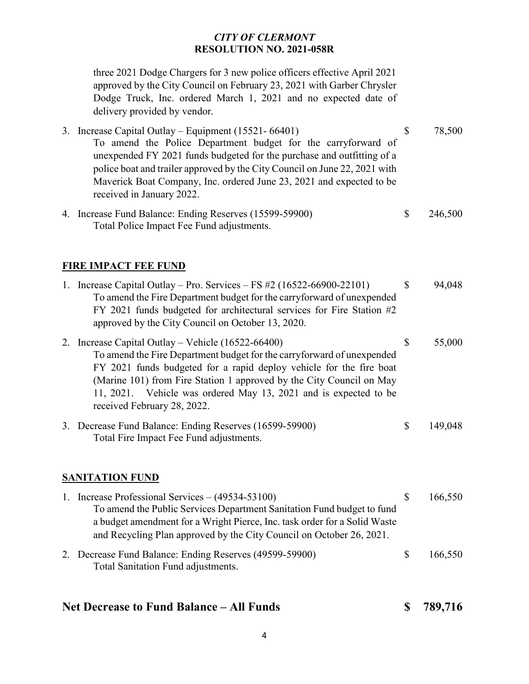three 2021 Dodge Chargers for 3 new police officers effective April 2021 approved by the City Council on February 23, 2021 with Garber Chrysler Dodge Truck, Inc. ordered March 1, 2021 and no expected date of delivery provided by vendor.

- 3. Increase Capital Outlay Equipment (15521- 66401) \$ 78,500 To amend the Police Department budget for the carryforward of unexpended FY 2021 funds budgeted for the purchase and outfitting of a police boat and trailer approved by the City Council on June 22, 2021 with Maverick Boat Company, Inc. ordered June 23, 2021 and expected to be received in January 2022.
- 4. Increase Fund Balance: Ending Reserves (15599-59900) \$ 246,500 Total Police Impact Fee Fund adjustments.

# **FIRE IMPACT FEE FUND**

| 1. | Increase Capital Outlay – Pro. Services – FS $\#2$ (16522-66900-22101)<br>To amend the Fire Department budget for the carry forward of unexpended<br>FY 2021 funds budgeted for architectural services for Fire Station #2<br>approved by the City Council on October 13, 2020.                                                                                                     | S  | 94,048  |
|----|-------------------------------------------------------------------------------------------------------------------------------------------------------------------------------------------------------------------------------------------------------------------------------------------------------------------------------------------------------------------------------------|----|---------|
|    | 2. Increase Capital Outlay – Vehicle $(16522 - 66400)$<br>To amend the Fire Department budget for the carry forward of unexpended<br>FY 2021 funds budgeted for a rapid deploy vehicle for the fire boat<br>(Marine 101) from Fire Station 1 approved by the City Council on May<br>11, 2021. Vehicle was ordered May 13, 2021 and is expected to be<br>received February 28, 2022. | \$ | 55,000  |
|    | 3. Decrease Fund Balance: Ending Reserves (16599-59900)<br>Total Fire Impact Fee Fund adjustments.                                                                                                                                                                                                                                                                                  | \$ | 149,048 |

## **SANITATION FUND**

| 1. Increase Professional Services $- (49534 - 53100)$                                                                                             |              | 166,550 |
|---------------------------------------------------------------------------------------------------------------------------------------------------|--------------|---------|
| To amend the Public Services Department Sanitation Fund budget to fund                                                                            |              |         |
| a budget amendment for a Wright Pierce, Inc. task order for a Solid Waste<br>and Recycling Plan approved by the City Council on October 26, 2021. |              |         |
| 2. Decrease Fund Balance: Ending Reserves (49599-59900)<br>Total Sanitation Fund adjustments.                                                     | <sup>8</sup> | 166,550 |

# **Net Decrease to Fund Balance – All Funds \$ 789,716**